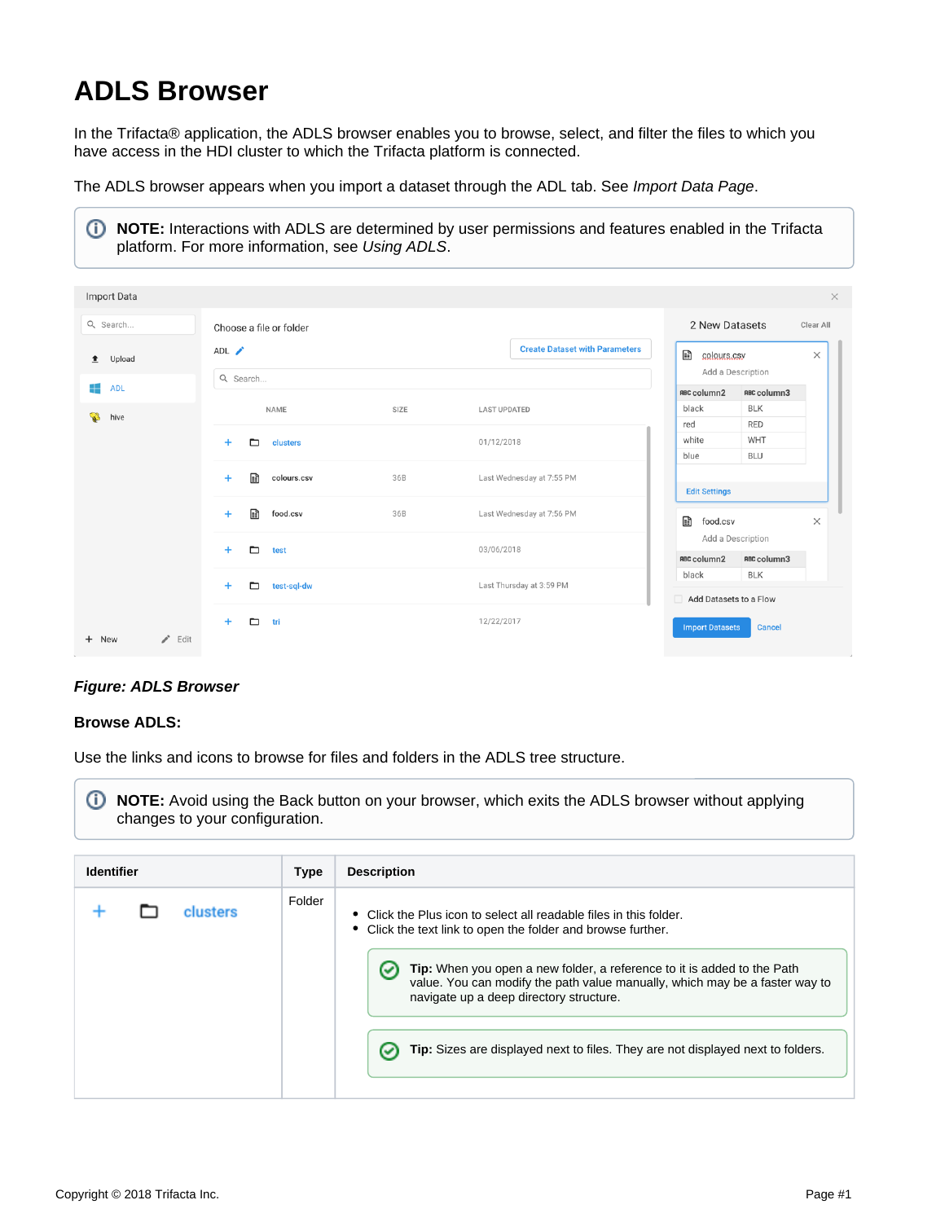# **ADLS Browser**

In the Trifacta® application, the ADLS browser enables you to browse, select, and filter the files to which you have access in the HDI cluster to which the Trifacta platform is connected.

The ADLS browser appears when you import a dataset through the ADL tab. See [Import Data Page](https://docs.trifacta.com/display/r051/Import+Data+Page).

| O)               |               | platform. For more information, see Using ADLS. |      | NOTE: Interactions with ADLS are determined by user permissions and features enabled in the Trifacta |                                                 |  |  |
|------------------|---------------|-------------------------------------------------|------|------------------------------------------------------------------------------------------------------|-------------------------------------------------|--|--|
| Import Data      |               |                                                 |      |                                                                                                      | $\times$                                        |  |  |
| Q Search         |               | Choose a file or folder                         |      |                                                                                                      | 2 New Datasets<br>Clear All                     |  |  |
| Upload<br>ੁ≛     |               | ADL /                                           |      | <b>Create Dataset with Parameters</b>                                                                | 国<br>$\times$<br>colours.csv                    |  |  |
| 42<br><b>ADL</b> |               | Q Search                                        |      |                                                                                                      | Add a Description                               |  |  |
|                  |               |                                                 |      |                                                                                                      | RBC column2<br>RBC column3                      |  |  |
| ್ತು<br>hive      |               | NAME                                            | SIZE | <b>LAST UPDATED</b>                                                                                  | black<br><b>BLK</b>                             |  |  |
|                  |               | ▭<br>clusters<br>$\pm$                          |      |                                                                                                      | <b>RED</b><br>red                               |  |  |
|                  |               |                                                 |      | 01/12/2018                                                                                           | WHT<br>white                                    |  |  |
|                  |               | 圇<br>colours.csv<br>$\pm$                       | 36B  | Last Wednesday at 7:55 PM                                                                            | <b>BLU</b><br>blue<br><b>Edit Settings</b>      |  |  |
|                  |               | 圇<br>food.csv<br>$+$                            | 36B  | Last Wednesday at 7:56 PM                                                                            | 雷<br>food.csv<br>$\times$                       |  |  |
|                  |               | $+$<br>▭<br>test                                |      | 03/06/2018                                                                                           | Add a Description<br>RBC column2<br>RBC column3 |  |  |
|                  |               | test-sql-dw<br>$\pm$<br>▭                       |      | Last Thursday at 3:59 PM                                                                             | black<br><b>BLK</b><br>Add Datasets to a Flow   |  |  |
| + New            | $\angle$ Edit | ▭<br>tri<br>$\pm$                               |      | 12/22/2017                                                                                           | <b>Import Datasets</b><br><b>Cancel</b>         |  |  |

## **Figure: ADLS Browser**

### **Browse ADLS:**

Use the links and icons to browse for files and folders in the ADLS tree structure.

**NOTE:** Avoid using the Back button on your browser, which exits the ADLS browser without applying changes to your configuration.

| <b>Identifier</b> | <b>Type</b> | <b>Description</b>                                                                                                                                                                                                                                                                                                                                                                                                       |  |
|-------------------|-------------|--------------------------------------------------------------------------------------------------------------------------------------------------------------------------------------------------------------------------------------------------------------------------------------------------------------------------------------------------------------------------------------------------------------------------|--|
| clusters          | Folder      | • Click the Plus icon to select all readable files in this folder.<br>Click the text link to open the folder and browse further.<br>Tip: When you open a new folder, a reference to it is added to the Path<br>value. You can modify the path value manually, which may be a faster way to<br>navigate up a deep directory structure.<br>Tip: Sizes are displayed next to files. They are not displayed next to folders. |  |